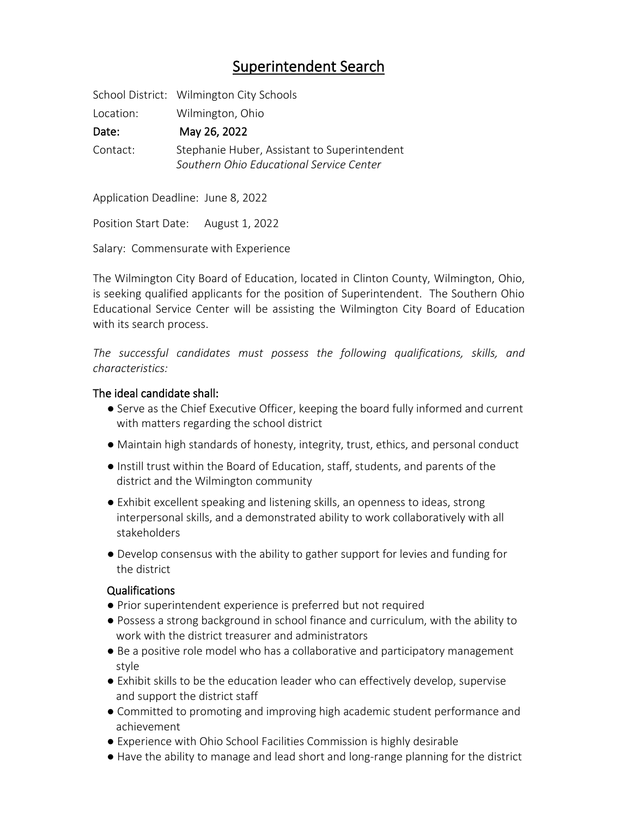# Superintendent Search

School District: Wilmington City Schools

Location: Wilmington, Ohio

Date: May 26, 2022

Contact: Stephanie Huber, Assistant to Superintendent *Southern Ohio Educational Service Center*

Application Deadline: June 8, 2022

Position Start Date: August 1, 2022

Salary: Commensurate with Experience

The Wilmington City Board of Education, located in Clinton County, Wilmington, Ohio, is seeking qualified applicants for the position of Superintendent. The Southern Ohio Educational Service Center will be assisting the Wilmington City Board of Education with its search process.

*The successful candidates must possess the following qualifications, skills, and characteristics:*

## The ideal candidate shall:

- Serve as the Chief Executive Officer, keeping the board fully informed and current with matters regarding the school district
- Maintain high standards of honesty, integrity, trust, ethics, and personal conduct
- Instill trust within the Board of Education, staff, students, and parents of the district and the Wilmington community
- Exhibit excellent speaking and listening skills, an openness to ideas, strong interpersonal skills, and a demonstrated ability to work collaboratively with all stakeholders
- Develop consensus with the ability to gather support for levies and funding for the district

## Qualifications

- Prior superintendent experience is preferred but not required
- Possess a strong background in school finance and curriculum, with the ability to work with the district treasurer and administrators
- Be a positive role model who has a collaborative and participatory management style
- Exhibit skills to be the education leader who can effectively develop, supervise and support the district staff
- Committed to promoting and improving high academic student performance and achievement
- Experience with Ohio School Facilities Commission is highly desirable
- Have the ability to manage and lead short and long-range planning for the district